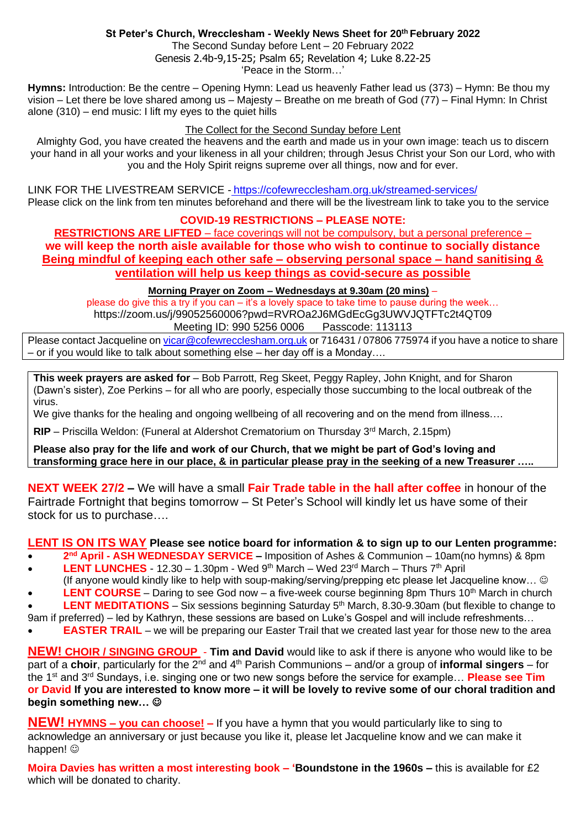## **St Peter's Church, Wrecclesham - Weekly News Sheet for 20th February 2022**

The Second Sunday before Lent – 20 February 2022 Genesis 2.4b-9,15-25; Psalm 65; Revelation 4; Luke 8.22-25 'Peace in the Storm…'

**Hymns:** Introduction: Be the centre – Opening Hymn: Lead us heavenly Father lead us (373) – Hymn: Be thou my vision – Let there be love shared among us – Majesty – Breathe on me breath of God (77) – Final Hymn: In Christ alone (310) – end music: I lift my eyes to the quiet hills

#### The Collect for the Second Sunday before Lent

Almighty God, you have created the heavens and the earth and made us in your own image: teach us to discern your hand in all your works and your likeness in all your children; through Jesus Christ your Son our Lord, who with you and the Holy Spirit reigns supreme over all things, now and for ever.

LINK FOR THE LIVESTREAM SERVICE - <https://cofewrecclesham.org.uk/streamed-services/> Please click on the link from ten minutes beforehand and there will be the livestream link to take you to the service

### **COVID-19 RESTRICTIONS – PLEASE NOTE:**

**RESTRICTIONS ARE LIFTED** – face coverings will not be compulsory, but a personal preference – **we will keep the north aisle available for those who wish to continue to socially distance Being mindful of keeping each other safe – observing personal space – hand sanitising & ventilation will help us keep things as covid-secure as possible** 

#### **Morning Prayer on Zoom – Wednesdays at 9.30am (20 mins)** –

please do give this a try if you can – it's a lovely space to take time to pause during the week… https://zoom.us/j/99052560006?pwd=RVROa2J6MGdEcGg3UWVJQTFTc2t4QT09 Meeting ID: 990 5256 0006 Passcode: 113113

Please contact Jacqueline on [vicar@cofewrecclesham.org.uk](mailto:vicar@cofewrecclesham.org.uk) or 716431 / 07806 775974 if you have a notice to share – or if you would like to talk about something else – her day off is a Monday….

**This week prayers are asked for** – Bob Parrott, Reg Skeet, Peggy Rapley, John Knight, and for Sharon (Dawn's sister), Zoe Perkins – for all who are poorly, especially those succumbing to the local outbreak of the virus.

We give thanks for the healing and ongoing wellbeing of all recovering and on the mend from illness....

**RIP** – Priscilla Weldon: (Funeral at Aldershot Crematorium on Thursday 3<sup>rd</sup> March, 2.15pm)

**Please also pray for the life and work of our Church, that we might be part of God's loving and transforming grace here in our place, & in particular please pray in the seeking of a new Treasurer …..**

**NEXT WEEK 27/2 –** We will have a small **Fair Trade table in the hall after coffee** in honour of the Fairtrade Fortnight that begins tomorrow – St Peter's School will kindly let us have some of their stock for us to purchase….

### **LENT IS ON ITS WAY Please see notice board for information & to sign up to our Lenten programme:**

- **2 nd April - ASH WEDNESDAY SERVICE –** Imposition of Ashes & Communion 10am(no hymns) & 8pm
- **LENT LUNCHES** 12.30 1.30pm Wed  $9<sup>th</sup>$  March Wed 23<sup>rd</sup> March Thurs  $7<sup>th</sup>$  April (If anyone would kindly like to help with soup-making/serving/prepping etc please let Jacqueline know… ☺
- **LENT COURSE** Daring to see God now a five-week course beginning 8pm Thurs 10<sup>th</sup> March in church **LENT MEDITATIONS** – Six sessions beginning Saturday 5<sup>th</sup> March, 8.30-9.30am (but flexible to change to
- 9am if preferred) led by Kathryn, these sessions are based on Luke's Gospel and will include refreshments...
- **EASTER TRAIL** we will be preparing our Easter Trail that we created last year for those new to the area

**NEW! CHOIR / SINGING GROUP** - **Tim and David** would like to ask if there is anyone who would like to be part of a **choir**, particularly for the 2<sup>nd</sup> and 4<sup>th</sup> Parish Communions – and/or a group of **informal singers** – for the 1st and 3rd Sundays, i.e. singing one or two new songs before the service for example… **Please see Tim or David If you are interested to know more – it will be lovely to revive some of our choral tradition and begin something new…** ☺

**NEW! HYMNS – you can choose! –** If you have a hymn that you would particularly like to sing to acknowledge an anniversary or just because you like it, please let Jacqueline know and we can make it happen!  $\circledcirc$ 

**Moira Davies has written a most interesting book – 'Boundstone in the 1960s –** this is available for £2 which will be donated to charity.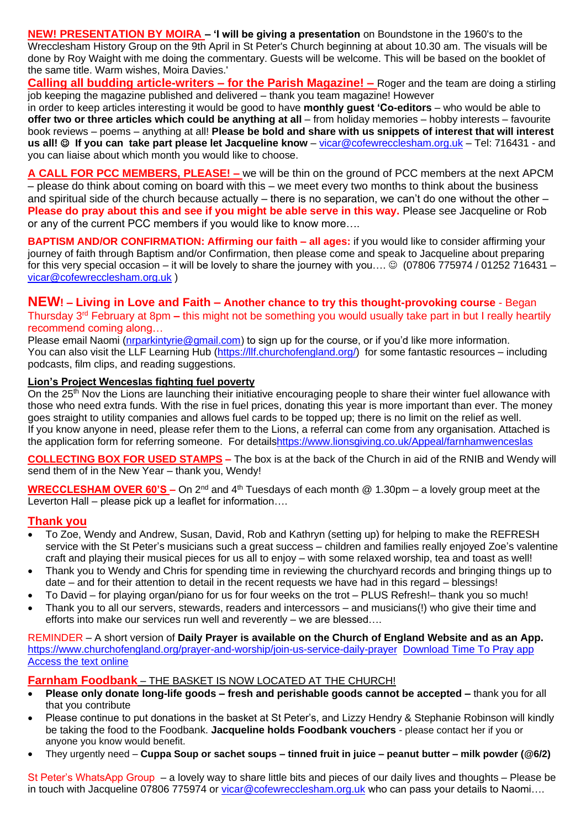**NEW! PRESENTATION BY MOIRA – 'I will be giving a presentation** on Boundstone in the 1960's to the Wrecclesham History Group on the 9th April in St Peter's Church beginning at about 10.30 am. The visuals will be done by Roy Waight with me doing the commentary. Guests will be welcome. This will be based on the booklet of the same title. Warm wishes, Moira Davies.'

**Calling all budding article-writers – for the Parish Magazine! –** Roger and the team are doing a stirling job keeping the magazine published and delivered – thank you team magazine! However

in order to keep articles interesting it would be good to have **monthly guest 'Co-editors** – who would be able to **offer two or three articles which could be anything at all** – from holiday memories – hobby interests – favourite book reviews – poems – anything at all! **Please be bold and share with us snippets of interest that will interest us all!** ☺ **If you can take part please let Jacqueline know** – [vicar@cofewrecclesham.org.uk](mailto:vicar@cofewrecclesham.org.uk) – Tel: 716431 - and you can liaise about which month you would like to choose.

**A CALL FOR PCC MEMBERS, PLEASE! –** we will be thin on the ground of PCC members at the next APCM – please do think about coming on board with this – we meet every two months to think about the business and spiritual side of the church because actually – there is no separation, we can't do one without the other – **Please do pray about this and see if you might be able serve in this way.** Please see Jacqueline or Rob or any of the current PCC members if you would like to know more….

**BAPTISM AND/OR CONFIRMATION: Affirming our faith – all ages:** if you would like to consider affirming your journey of faith through Baptism and/or Confirmation, then please come and speak to Jacqueline about preparing for this very special occasion – it will be lovely to share the journey with you....  $\circledcirc$  (07806 775974 / 01252 716431 – [vicar@cofewrecclesham.org.uk](mailto:vicar@cofewrecclesham.org.uk) )

# **NEW! – Living in Love and Faith – Another chance to try this thought-provoking course** - Began Thursday 3rd February at 8pm **–** this might not be something you would usually take part in but I really heartily recommend coming along…

Please email Naomi [\(nrparkintyrie@gmail.com\)](mailto:nrparkintyrie@gmail.com) to sign up for the course, or if you'd like more information. You can also visit the LLF Learning Hub [\(https://llf.churchofengland.org/\)](https://llf.churchofengland.org/) for some fantastic resources – including podcasts, film clips, and reading suggestions.

### **Lion's Project Wenceslas fighting fuel poverty**

On the 25<sup>th</sup> Nov the Lions are launching their initiative encouraging people to share their winter fuel allowance with those who need extra funds. With the rise in fuel prices, donating this year is more important than ever. The money goes straight to utility companies and allows fuel cards to be topped up; there is no limit on the relief as well. If you know anyone in need, please refer them to the Lions, a referral can come from any organisation. Attached is the application form for referring someone. For detail[shttps://www.lionsgiving.co.uk/Appeal/farnhamwenceslas](https://www.lionsgiving.co.uk/Appeal/farnhamwenceslas)

**COLLECTING BOX FOR USED STAMPS –** The box is at the back of the Church in aid of the RNIB and Wendy will send them of in the New Year – thank you, Wendy!

**WRECCLESHAM OVER 60'S –** On 2<sup>nd</sup> and 4<sup>th</sup> Tuesdays of each month @ 1.30pm – a lovely group meet at the Leverton Hall – please pick up a leaflet for information....

### **Thank you**

- To Zoe, Wendy and Andrew, Susan, David, Rob and Kathryn (setting up) for helping to make the REFRESH service with the St Peter's musicians such a great success – children and families really enjoyed Zoe's valentine craft and playing their musical pieces for us all to enjoy – with some relaxed worship, tea and toast as well!
- Thank you to Wendy and Chris for spending time in reviewing the churchyard records and bringing things up to date – and for their attention to detail in the recent requests we have had in this regard – blessings!
- To David for playing organ/piano for us for four weeks on the trot PLUS Refresh!– thank you so much!
- Thank you to all our servers, stewards, readers and intercessors and musicians(!) who give their time and efforts into make our services run well and reverently – we are blessed….

REMINDER – A short version of **Daily Prayer is available on the Church of England Website and as an App.** <https://www.churchofengland.org/prayer-and-worship/join-us-service-daily-prayer> [Download Time To Pray app](https://www.chpublishing.co.uk/apps/time-to-pray)  [Access the text online](https://www.churchofengland.org/prayer-and-worship/join-us-in-daily-prayer/prayer-during-day-contemporary-Saturday-30-January-2021)

**Farnham Foodbank** – THE BASKET IS NOW LOCATED AT THE CHURCH!

- **Please only donate long-life goods – fresh and perishable goods cannot be accepted –** thank you for all that you contribute
- Please continue to put donations in the basket at St Peter's, and Lizzy Hendry & Stephanie Robinson will kindly be taking the food to the Foodbank. **Jacqueline holds Foodbank vouchers** - please contact her if you or anyone you know would benefit.
- They urgently need **Cuppa Soup or sachet soups – tinned fruit in juice – peanut butter – milk powder (@6/2)**

St Peter's WhatsApp Group – a lovely way to share little bits and pieces of our daily lives and thoughts – Please be in touch with Jacqueline 07806 775974 or [vicar@cofewrecclesham.org.uk](mailto:vicar@cofewrecclesham.org.uk) who can pass your details to Naomi....